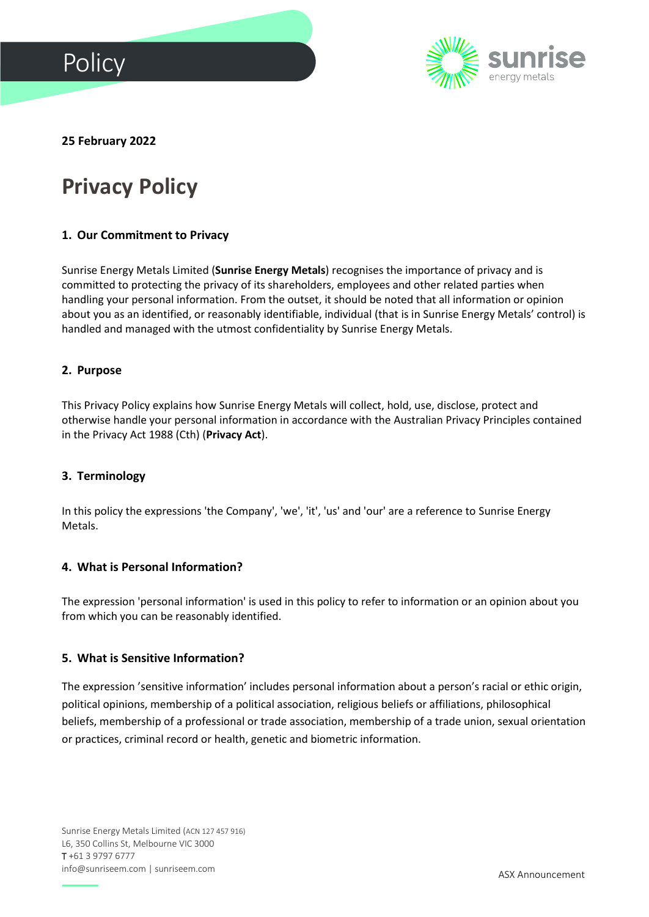



# **25 February 2022**

# **Privacy Policy**

### **1. Our Commitment to Privacy**

Sunrise Energy Metals Limited (**Sunrise Energy Metals**) recognises the importance of privacy and is committed to protecting the privacy of its shareholders, employees and other related parties when handling your personal information. From the outset, it should be noted that all information or opinion about you as an identified, or reasonably identifiable, individual (that is in Sunrise Energy Metals' control) is handled and managed with the utmost confidentiality by Sunrise Energy Metals.

#### **2. Purpose**

This Privacy Policy explains how Sunrise Energy Metals will collect, hold, use, disclose, protect and otherwise handle your personal information in accordance with the Australian Privacy Principles contained in the Privacy Act 1988 (Cth) (**Privacy Act**).

### **3. Terminology**

In this policy the expressions 'the Company', 'we', 'it', 'us' and 'our' are a reference to Sunrise Energy Metals.

### **4. What is Personal Information?**

The expression 'personal information' is used in this policy to refer to information or an opinion about you from which you can be reasonably identified.

#### **5. What is Sensitive Information?**

The expression 'sensitive information' includes personal information about a person's racial or ethic origin, political opinions, membership of a political association, religious beliefs or affiliations, philosophical beliefs, membership of a professional or trade association, membership of a trade union, sexual orientation or practices, criminal record or health, genetic and biometric information.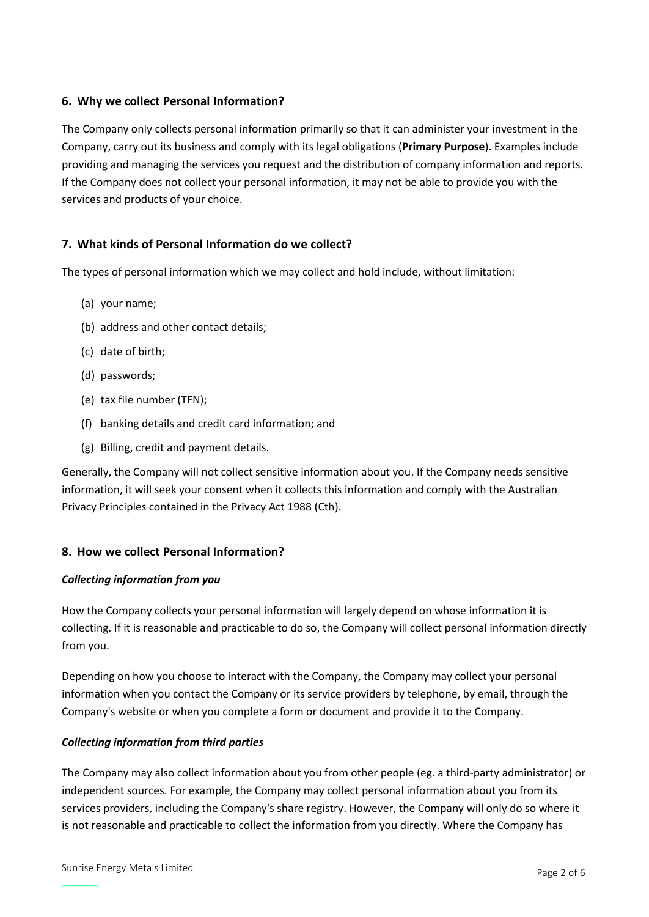## **6. Why we collect Personal Information?**

The Company only collects personal information primarily so that it can administer your investment in the Company, carry out its business and comply with its legal obligations (**Primary Purpose**). Examples include providing and managing the services you request and the distribution of company information and reports. If the Company does not collect your personal information, it may not be able to provide you with the services and products of your choice.

### **7. What kinds of Personal Information do we collect?**

The types of personal information which we may collect and hold include, without limitation:

- (a) your name;
- (b) address and other contact details;
- (c) date of birth;
- (d) passwords;
- (e) tax file number (TFN);
- (f) banking details and credit card information; and
- (g) Billing, credit and payment details.

Generally, the Company will not collect sensitive information about you. If the Company needs sensitive information, it will seek your consent when it collects this information and comply with the Australian Privacy Principles contained in the Privacy Act 1988 (Cth).

### **8. How we collect Personal Information?**

#### *Collecting information from you*

How the Company collects your personal information will largely depend on whose information it is collecting. If it is reasonable and practicable to do so, the Company will collect personal information directly from you.

Depending on how you choose to interact with the Company, the Company may collect your personal information when you contact the Company or its service providers by telephone, by email, through the Company's website or when you complete a form or document and provide it to the Company.

### *Collecting information from third parties*

The Company may also collect information about you from other people (eg. a third-party administrator) or independent sources. For example, the Company may collect personal information about you from its services providers, including the Company's share registry. However, the Company will only do so where it is not reasonable and practicable to collect the information from you directly. Where the Company has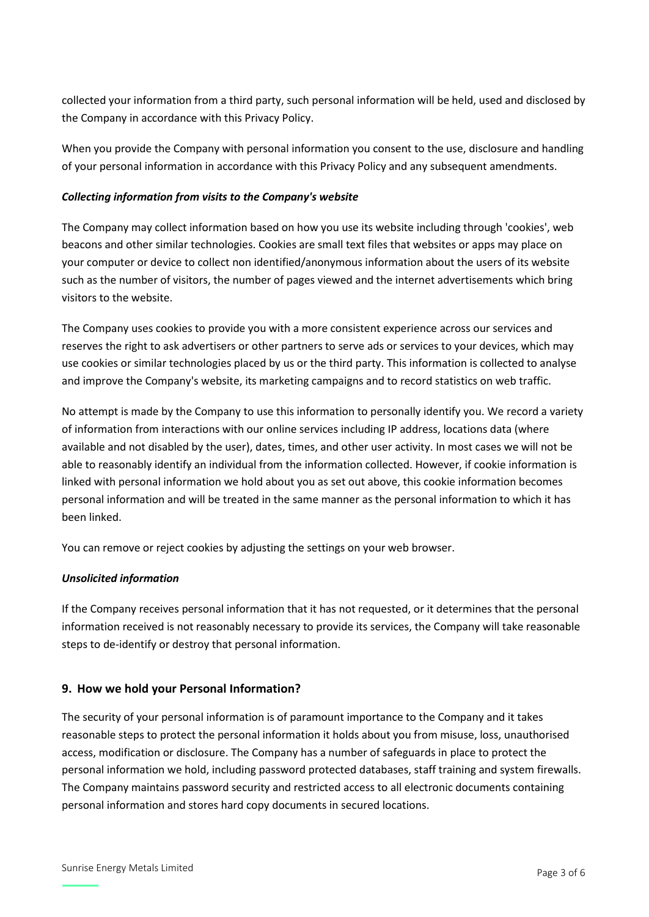collected your information from a third party, such personal information will be held, used and disclosed by the Company in accordance with this Privacy Policy.

When you provide the Company with personal information you consent to the use, disclosure and handling of your personal information in accordance with this Privacy Policy and any subsequent amendments.

#### *Collecting information from visits to the Company's website*

The Company may collect information based on how you use its website including through 'cookies', web beacons and other similar technologies. Cookies are small text files that websites or apps may place on your computer or device to collect non identified/anonymous information about the users of its website such as the number of visitors, the number of pages viewed and the internet advertisements which bring visitors to the website.

The Company uses cookies to provide you with a more consistent experience across our services and reserves the right to ask advertisers or other partners to serve ads or services to your devices, which may use cookies or similar technologies placed by us or the third party. This information is collected to analyse and improve the Company's website, its marketing campaigns and to record statistics on web traffic.

No attempt is made by the Company to use this information to personally identify you. We record a variety of information from interactions with our online services including IP address, locations data (where available and not disabled by the user), dates, times, and other user activity. In most cases we will not be able to reasonably identify an individual from the information collected. However, if cookie information is linked with personal information we hold about you as set out above, this cookie information becomes personal information and will be treated in the same manner as the personal information to which it has been linked.

You can remove or reject cookies by adjusting the settings on your web browser.

### *Unsolicited information*

If the Company receives personal information that it has not requested, or it determines that the personal information received is not reasonably necessary to provide its services, the Company will take reasonable steps to de-identify or destroy that personal information.

### **9. How we hold your Personal Information?**

The security of your personal information is of paramount importance to the Company and it takes reasonable steps to protect the personal information it holds about you from misuse, loss, unauthorised access, modification or disclosure. The Company has a number of safeguards in place to protect the personal information we hold, including password protected databases, staff training and system firewalls. The Company maintains password security and restricted access to all electronic documents containing personal information and stores hard copy documents in secured locations.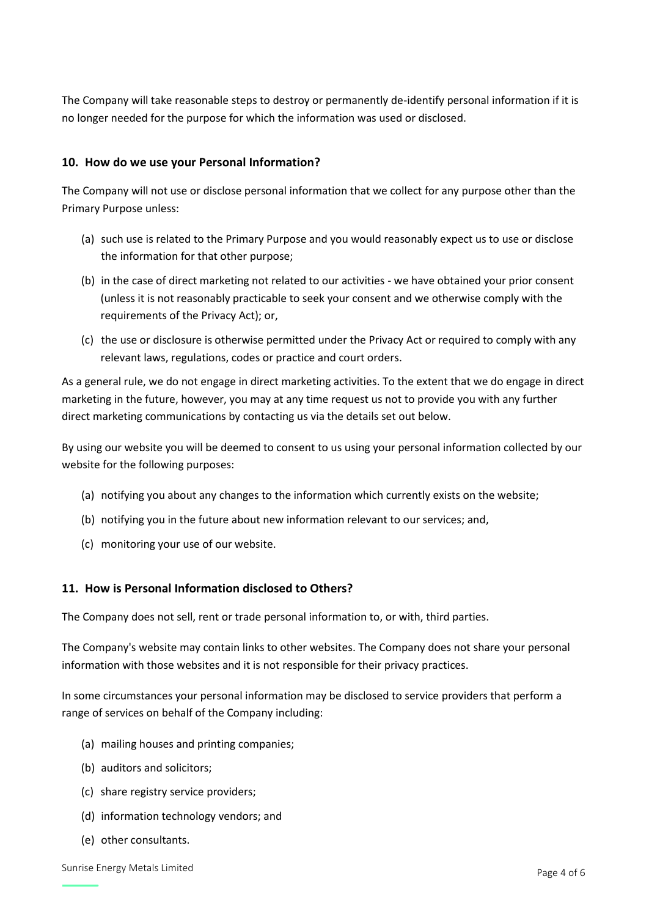The Company will take reasonable steps to destroy or permanently de-identify personal information if it is no longer needed for the purpose for which the information was used or disclosed.

## **10. How do we use your Personal Information?**

The Company will not use or disclose personal information that we collect for any purpose other than the Primary Purpose unless:

- (a) such use is related to the Primary Purpose and you would reasonably expect us to use or disclose the information for that other purpose;
- (b) in the case of direct marketing not related to our activities we have obtained your prior consent (unless it is not reasonably practicable to seek your consent and we otherwise comply with the requirements of the Privacy Act); or,
- (c) the use or disclosure is otherwise permitted under the Privacy Act or required to comply with any relevant laws, regulations, codes or practice and court orders.

As a general rule, we do not engage in direct marketing activities. To the extent that we do engage in direct marketing in the future, however, you may at any time request us not to provide you with any further direct marketing communications by contacting us via the details set out below.

By using our website you will be deemed to consent to us using your personal information collected by our website for the following purposes:

- (a) notifying you about any changes to the information which currently exists on the website;
- (b) notifying you in the future about new information relevant to our services; and,
- (c) monitoring your use of our website.

## **11. How is Personal Information disclosed to Others?**

The Company does not sell, rent or trade personal information to, or with, third parties.

The Company's website may contain links to other websites. The Company does not share your personal information with those websites and it is not responsible for their privacy practices.

In some circumstances your personal information may be disclosed to service providers that perform a range of services on behalf of the Company including:

- (a) mailing houses and printing companies;
- (b) auditors and solicitors;
- (c) share registry service providers;
- (d) information technology vendors; and
- (e) other consultants.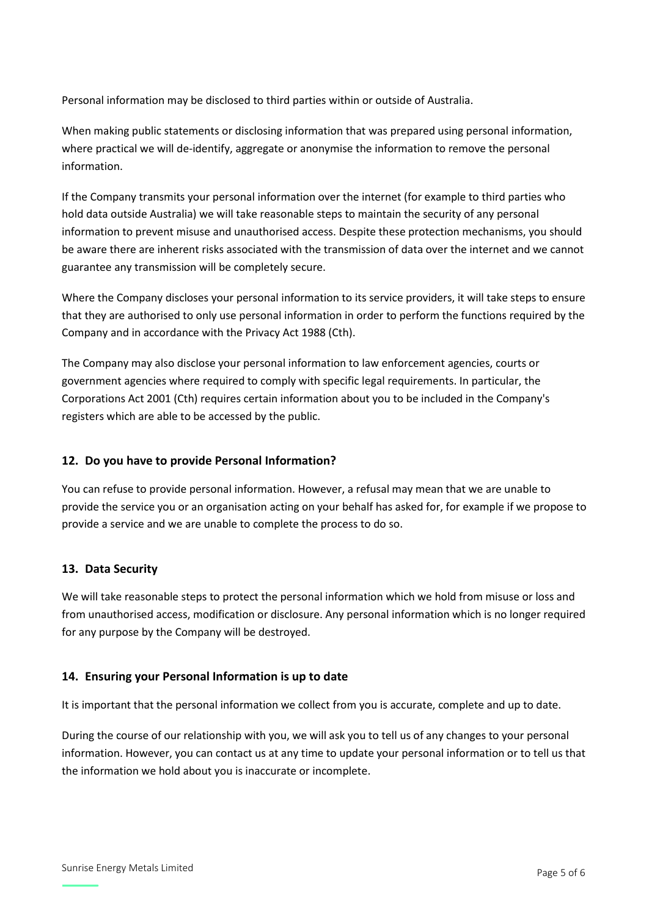Personal information may be disclosed to third parties within or outside of Australia.

When making public statements or disclosing information that was prepared using personal information, where practical we will de-identify, aggregate or anonymise the information to remove the personal information.

If the Company transmits your personal information over the internet (for example to third parties who hold data outside Australia) we will take reasonable steps to maintain the security of any personal information to prevent misuse and unauthorised access. Despite these protection mechanisms, you should be aware there are inherent risks associated with the transmission of data over the internet and we cannot guarantee any transmission will be completely secure.

Where the Company discloses your personal information to its service providers, it will take steps to ensure that they are authorised to only use personal information in order to perform the functions required by the Company and in accordance with the Privacy Act 1988 (Cth).

The Company may also disclose your personal information to law enforcement agencies, courts or government agencies where required to comply with specific legal requirements. In particular, the Corporations Act 2001 (Cth) requires certain information about you to be included in the Company's registers which are able to be accessed by the public.

### **12. Do you have to provide Personal Information?**

You can refuse to provide personal information. However, a refusal may mean that we are unable to provide the service you or an organisation acting on your behalf has asked for, for example if we propose to provide a service and we are unable to complete the process to do so.

### **13. Data Security**

We will take reasonable steps to protect the personal information which we hold from misuse or loss and from unauthorised access, modification or disclosure. Any personal information which is no longer required for any purpose by the Company will be destroyed.

### **14. Ensuring your Personal Information is up to date**

It is important that the personal information we collect from you is accurate, complete and up to date.

During the course of our relationship with you, we will ask you to tell us of any changes to your personal information. However, you can contact us at any time to update your personal information or to tell us that the information we hold about you is inaccurate or incomplete.